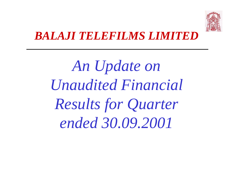

### *BALAJI TELEFILMS LIMITED*

*An Update on Unaudited Financial Results for Quarter ended 30.09.2001*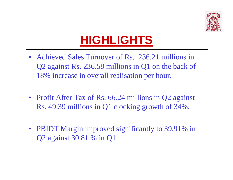

# **HIGHLIGHTS**

- Achieved Sales Turnover of Rs. 236.21 millions in Q2 against Rs. 236.58 millions in Q1 on the back of 18% increase in overall realisation per hour.
- Profit After Tax of Rs. 66.24 millions in Q2 against Rs. 49.39 millions in Q1 clocking growth of 34%.
- PBIDT Margin improved significantly to 39.91% in Q2 against 30.81 % in Q1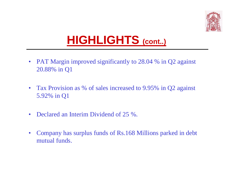

# **HIGHLIGHTS (cont..)**

- $\bullet$  PAT Margin improved significantly to 28.04 % in Q2 against 20.88% in Q1
- Tax Provision as % of sales increased to 9.95% in Q2 against 5.92% in Q1
- $\bullet$ Declared an Interim Dividend of 25 %.
- • Company has surplus funds of Rs.168 Millions parked in debt mutual funds.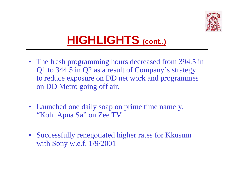

# **HIGHLIGHTS (cont..)**

- The fresh programming hours decreased from 394.5 in Q1 to 344.5 in Q2 as a result of Company's strategy to reduce exposure on DD net work and programmes on DD Metro going off air.
- Launched one daily soap on prime time namely, "Kohi Apna Sa" on Zee TV
- Successfully renegotiated higher rates for Kkusum with Sony w.e.f. 1/9/2001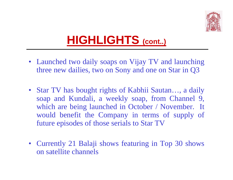

# **HIGHLIGHTS (cont..)**

- Launched two daily soaps on Vijay TV and launching three new dailies, two on Sony and one on Star in Q3
- Star TV has bought rights of Kabhii Sautan..., a daily soap and Kundali, a weekly soap, from Channel 9, which are being launched in October / November. It would benefit the Company in terms of supply of future episodes of those serials to Star TV
- Currently 21 Balaji shows featuring in Top 30 shows on satellite channels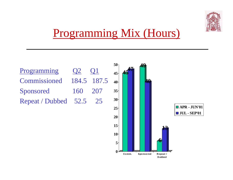

### Programming Mix (Hours)

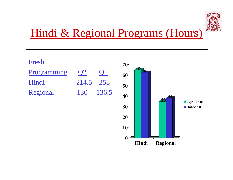

## Hindi & Regional Programs (Hours)

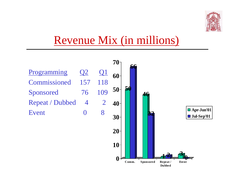

### Revenue Mix (in millions)

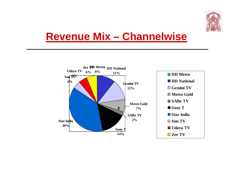

### **Revenue Mix – Channelwise**

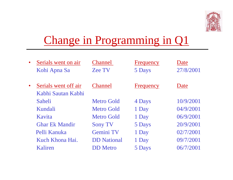

## Change in Programming in Q1

| $\bullet$ | Serials went on air<br>Kohi Apna Sa        | <b>Channel</b><br><b>Zee TV</b> | Frequency<br>5 Days | Date<br>27/8/2001 |
|-----------|--------------------------------------------|---------------------------------|---------------------|-------------------|
| $\bullet$ | Serials went off air<br>Kabhi Sautan Kabhi | <b>Channel</b>                  | Frequency           | Date              |
|           | Saheli                                     | <b>Metro Gold</b>               | 4 Days              | 10/9/2001         |
|           | Kundali                                    | <b>Metro Gold</b>               | 1 Day               | 04/9/2001         |
|           | Kavita                                     | <b>Metro Gold</b>               | 1 Day               | 06/9/2001         |
|           | <b>Ghar Ek Mandir</b>                      | <b>Sony TV</b>                  | 5 Days              | 20/9/2001         |
|           | Pelli Kanuka                               | Gemini TV                       | 1 Day               | 02/7/2001         |
|           | Kuch Khona Hai.                            | <b>DD</b> National              | 1 Day               | 09/7/2001         |
|           | Kaliren                                    | <b>DD</b> Metro                 | 5 Days              | 06/7/2001         |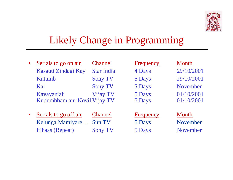

### Likely Change in Programming

| $\bullet$ | Serials to go on air         | <b>Channel</b>    | Frequency        | Month      |
|-----------|------------------------------|-------------------|------------------|------------|
|           | Kasauti Zindagi Kay          | <b>Star India</b> | 4 Days           | 29/10/2001 |
|           | Kutumb                       | <b>Sony TV</b>    | 5 Days           | 29/10/2001 |
|           | Kal                          | <b>Sony TV</b>    | 5 Days           | November   |
|           | Kavayanjali                  | Vijay TV          | 5 Days           | 01/10/2001 |
|           | Kudumbbam aur Kovil Vijay TV |                   | 5 Days           | 01/10/2001 |
| $\bullet$ | Serials to go off air        | <b>Channel</b>    | <b>Frequency</b> | Month      |
|           | Kelunga Mamiyare             | <b>Sun TV</b>     | 5 Days           | November   |
|           | <b>Itihaas (Repeat)</b>      | <b>Sony TV</b>    | 5 Days           | November   |
|           |                              |                   |                  |            |